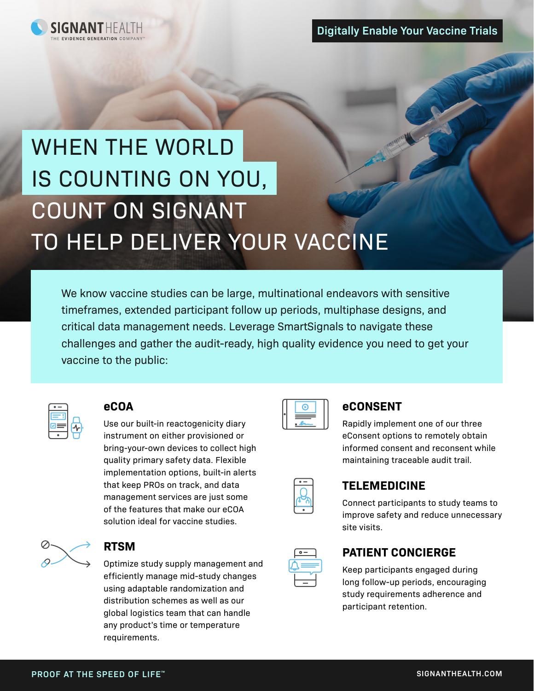

# WHEN THE WORLD IS COUNTING ON YOU, COUNT ON SIGNANT TO HELP DELIVER YOUR VACCINE

We know vaccine studies can be large, multinational endeavors with sensitive<br>
critical data management needs. Leverage SmartSignals to navigate these<br>
critical data management needs. Leverage SmartSignals to navigate these timeframes, extended participant follow up periods, multiphase designs, and critical data management needs. Leverage SmartSignals to navigate these challenges and gather the audit-ready, high quality evidence you need to get your vaccine to the public:



#### **eCOA**

Use our built-in reactogenicity diary instrument on either provisioned or bring-your-own devices to collect high quality primary safety data. Flexible implementation options, built-in alerts that keep PROs on track, and data management services are just some of the features that make our eCOA solution ideal for vaccine studies.



#### **RTSM**

Optimize study supply management and efficiently manage mid-study changes using adaptable randomization and distribution schemes as well as our global logistics team that can handle any product's time or temperature requirements.



## **eCONSENT**

Rapidly implement one of our three eConsent options to remotely obtain informed consent and reconsent while maintaining traceable audit trail.

### **TELEMEDICINE**

Connect participants to study teams to improve safety and reduce unnecessary site visits.

### **PATIENT CONCIERGE**

Keep participants engaged during long follow-up periods, encouraging study requirements adherence and participant retention.